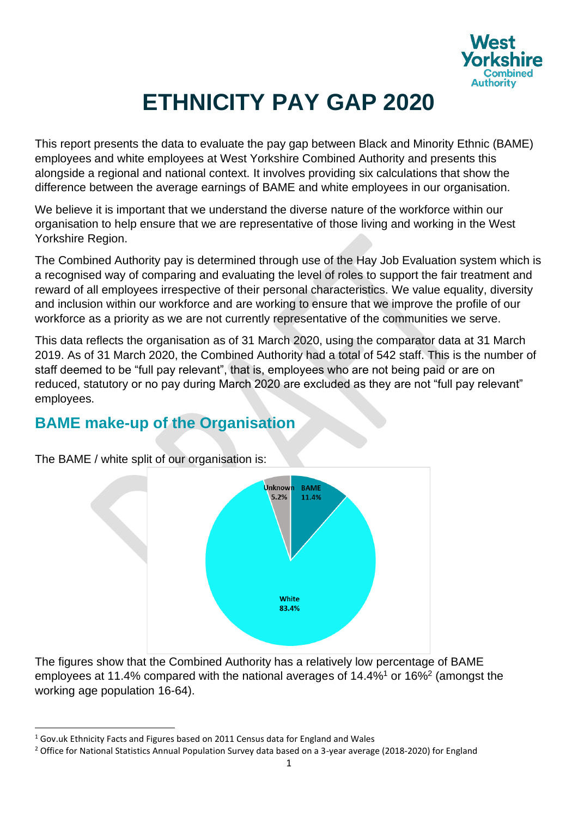

# **ETHNICITY PAY GAP 2020**

This report presents the data to evaluate the pay gap between Black and Minority Ethnic (BAME) employees and white employees at West Yorkshire Combined Authority and presents this alongside a regional and national context. It involves providing six calculations that show the difference between the average earnings of BAME and white employees in our organisation.

We believe it is important that we understand the diverse nature of the workforce within our organisation to help ensure that we are representative of those living and working in the West Yorkshire Region.

The Combined Authority pay is determined through use of the Hay Job Evaluation system which is a recognised way of comparing and evaluating the level of roles to support the fair treatment and reward of all employees irrespective of their personal characteristics. We value equality, diversity and inclusion within our workforce and are working to ensure that we improve the profile of our workforce as a priority as we are not currently representative of the communities we serve.

This data reflects the organisation as of 31 March 2020, using the comparator data at 31 March 2019. As of 31 March 2020, the Combined Authority had a total of 542 staff. This is the number of staff deemed to be "full pay relevant", that is, employees who are not being paid or are on reduced, statutory or no pay during March 2020 are excluded as they are not "full pay relevant" employees.

#### **BAME make-up of the Organisation**



The BAME / white split of our organisation is:

The figures show that the Combined Authority has a relatively low percentage of BAME employees at 11.4% compared with the national averages of 14.4%<sup>1</sup> or 16%<sup>2</sup> (amongst the working age population 16-64).

<sup>&</sup>lt;sup>1</sup> Gov.uk Ethnicity Facts and Figures based on 2011 Census data for England and Wales

<sup>&</sup>lt;sup>2</sup> Office for National Statistics Annual Population Survey data based on a 3-year average (2018-2020) for England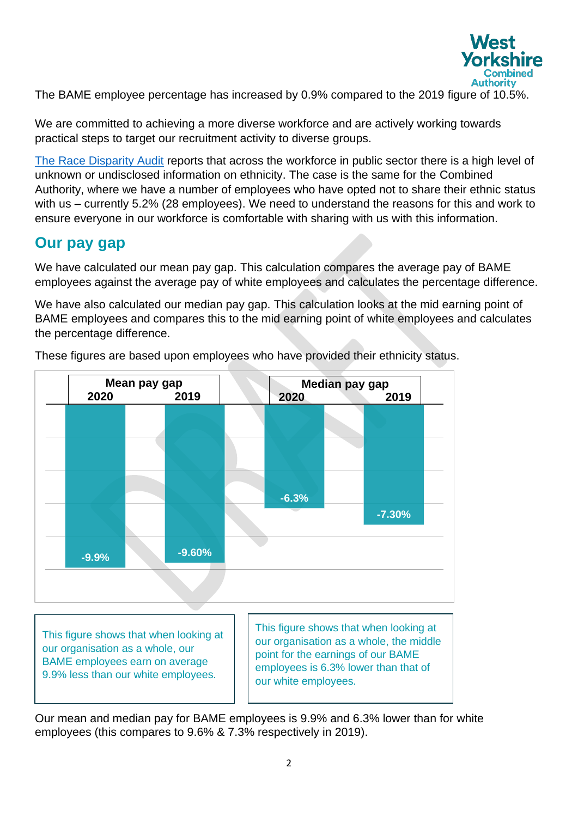

The BAME employee percentage has increased by 0.9% compared to the 2019 figure of 10.5%.

We are committed to achieving a more diverse workforce and are actively working towards practical steps to target our recruitment activity to diverse groups.

[The Race Disparity Audit](https://www.gov.uk/government/publications/race-disparity-audit) reports that across the workforce in public sector there is a high level of unknown or undisclosed information on ethnicity. The case is the same for the Combined Authority, where we have a number of employees who have opted not to share their ethnic status with us – currently 5.2% (28 employees). We need to understand the reasons for this and work to ensure everyone in our workforce is comfortable with sharing with us with this information.

#### **Our pay gap**

We have calculated our mean pay gap. This calculation compares the average pay of BAME employees against the average pay of white employees and calculates the percentage difference.

We have also calculated our median pay gap. This calculation looks at the mid earning point of BAME employees and compares this to the mid earning point of white employees and calculates the percentage difference.



These figures are based upon employees who have provided their ethnicity status.

BAME employees earn on average 9.9% less than our white employees.

point for the earnings of our BAME employees is 6.3% lower than that of our white employees.

Our mean and median pay for BAME employees is 9.9% and 6.3% lower than for white employees (this compares to 9.6% & 7.3% respectively in 2019).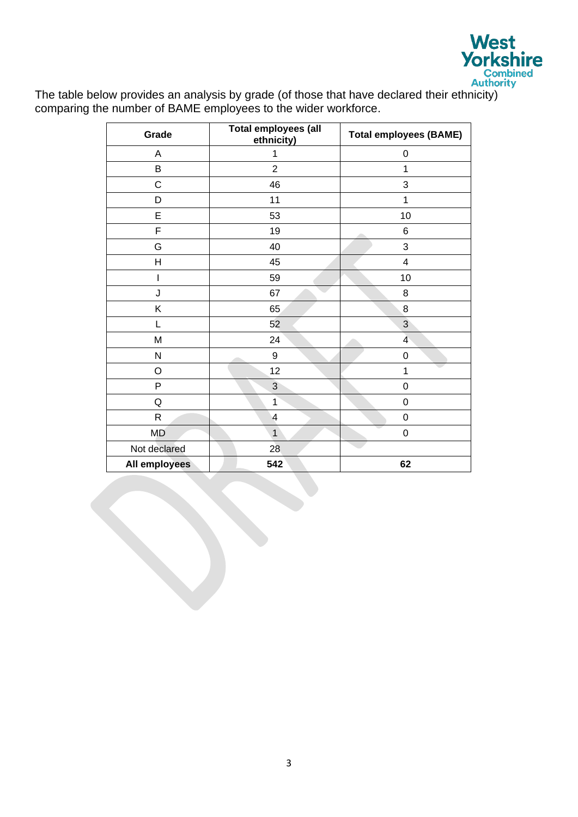

The table below provides an analysis by grade (of those that have declared their ethnicity) comparing the number of BAME employees to the wider workforce.

| Grade         | Total employees (all<br>ethnicity) | <b>Total employees (BAME)</b> |
|---------------|------------------------------------|-------------------------------|
| A             | 1                                  | $\boldsymbol{0}$              |
| B             | $\overline{2}$                     | 1                             |
| $\mathsf C$   | 46                                 | 3                             |
| D             | 11                                 | 1                             |
| E             | 53                                 | 10                            |
| F             | 19                                 | $\,6$<br>e e contro           |
| G             | 40                                 | 3                             |
| H             | 45                                 | $\overline{\mathbf{4}}$       |
|               | 59                                 | 10                            |
| J             | 67                                 | $\,8\,$                       |
| Κ             | 65                                 | $\bf 8$                       |
| L             | 52                                 | 3                             |
| M             | 24                                 | 4                             |
| N             | 9                                  | $\boldsymbol{0}$              |
| O             | 12                                 | 1                             |
| P             | 3                                  | $\boldsymbol{0}$              |
| Q             | $\mathbf{1}$                       | $\boldsymbol{0}$              |
| R             | $\overline{\mathbf{4}}$            | $\boldsymbol{0}$              |
| <b>MD</b>     | $\mathbf{1}$                       | $\pmb{0}$                     |
| Not declared  | 28                                 |                               |
| All employees | 542                                | 62                            |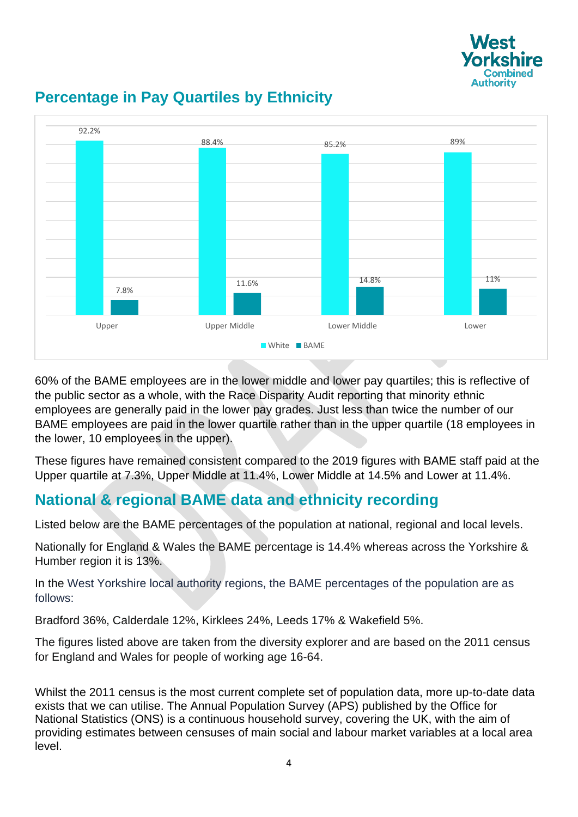



# **Percentage in Pay Quartiles by Ethnicity**

60% of the BAME employees are in the lower middle and lower pay quartiles; this is reflective of the public sector as a whole, with the Race Disparity Audit reporting that minority ethnic employees are generally paid in the lower pay grades. Just less than twice the number of our BAME employees are paid in the lower quartile rather than in the upper quartile (18 employees in the lower, 10 employees in the upper).

These figures have remained consistent compared to the 2019 figures with BAME staff paid at the Upper quartile at 7.3%, Upper Middle at 11.4%, Lower Middle at 14.5% and Lower at 11.4%.

## **National & regional BAME data and ethnicity recording**

Listed below are the BAME percentages of the population at national, regional and local levels.

Nationally for England & Wales the BAME percentage is 14.4% whereas across the Yorkshire & Humber region it is 13%.

In the West Yorkshire local authority regions, the BAME percentages of the population are as follows:

Bradford 36%, Calderdale 12%, Kirklees 24%, Leeds 17% & Wakefield 5%.

The figures listed above are taken from the diversity explorer and are based on the 2011 census for England and Wales for people of working age 16-64.

Whilst the 2011 census is the most current complete set of population data, more up-to-date data exists that we can utilise. The Annual Population Survey (APS) published by the Office for National Statistics (ONS) is a continuous household survey, covering the UK, with the aim of providing estimates between censuses of main social and labour market variables at a local area level.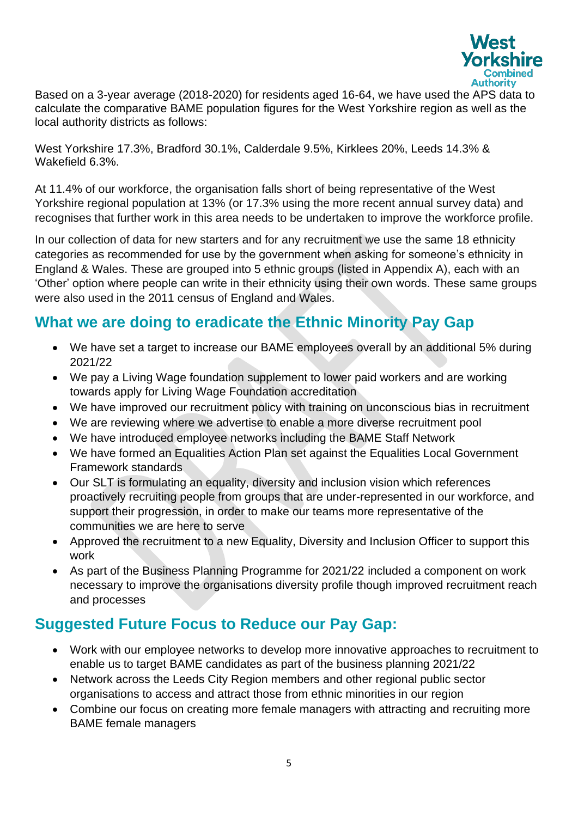

Based on a 3-year average (2018-2020) for residents aged 16-64, we have used the APS data to calculate the comparative BAME population figures for the West Yorkshire region as well as the local authority districts as follows:

West Yorkshire 17.3%, Bradford 30.1%, Calderdale 9.5%, Kirklees 20%, Leeds 14.3% & Wakefield 6.3%.

At 11.4% of our workforce, the organisation falls short of being representative of the West Yorkshire regional population at 13% (or 17.3% using the more recent annual survey data) and recognises that further work in this area needs to be undertaken to improve the workforce profile.

In our collection of data for new starters and for any recruitment we use the same 18 ethnicity categories as recommended for use by the government when asking for someone's ethnicity in England & Wales. These are grouped into 5 ethnic groups (listed in Appendix A), each with an 'Other' option where people can write in their ethnicity using their own words. These same groups were also used in the 2011 census of England and Wales.

### **What we are doing to eradicate the Ethnic Minority Pay Gap**

- We have set a target to increase our BAME employees overall by an additional 5% during 2021/22
- We pay a Living Wage foundation supplement to lower paid workers and are working towards apply for Living Wage Foundation accreditation
- We have improved our recruitment policy with training on unconscious bias in recruitment
- We are reviewing where we advertise to enable a more diverse recruitment pool
- We have introduced employee networks including the BAME Staff Network
- We have formed an Equalities Action Plan set against the Equalities Local Government Framework standards
- Our SLT is formulating an equality, diversity and inclusion vision which references proactively recruiting people from groups that are under-represented in our workforce, and support their progression, in order to make our teams more representative of the communities we are here to serve
- Approved the recruitment to a new Equality, Diversity and Inclusion Officer to support this work
- As part of the Business Planning Programme for 2021/22 included a component on work necessary to improve the organisations diversity profile though improved recruitment reach and processes

## **Suggested Future Focus to Reduce our Pay Gap:**

- Work with our employee networks to develop more innovative approaches to recruitment to enable us to target BAME candidates as part of the business planning 2021/22
- Network across the Leeds City Region members and other regional public sector organisations to access and attract those from ethnic minorities in our region
- Combine our focus on creating more female managers with attracting and recruiting more BAME female managers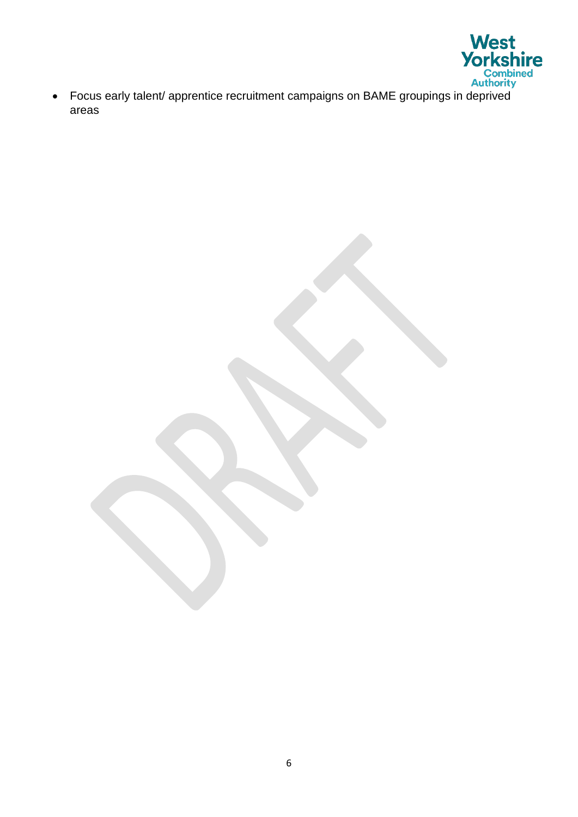

• Focus early talent/ apprentice recruitment campaigns on BAME groupings in deprived areas